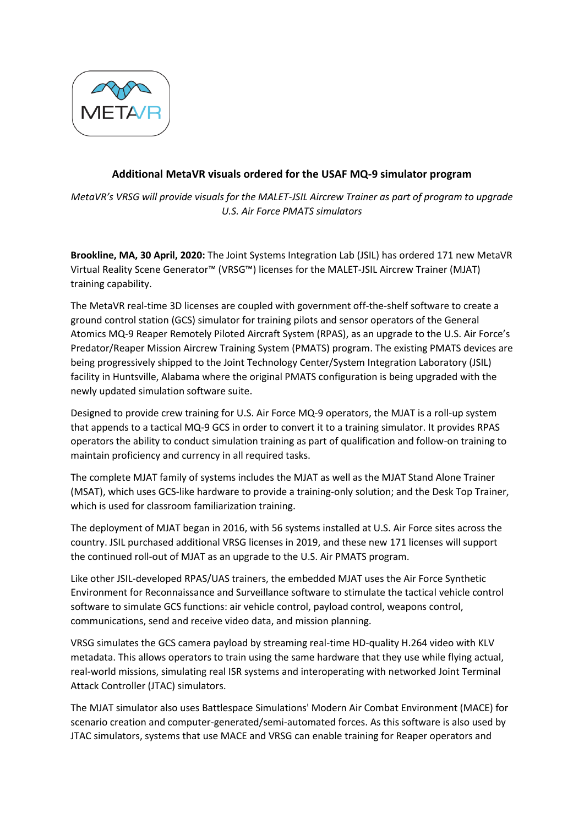

## **Additional MetaVR visuals ordered for the USAF MQ-9 simulator program**

*MetaVR's VRSG will provide visuals for the MALET-JSIL Aircrew Trainer as part of program to upgrade U.S. Air Force PMATS simulators*

**Brookline, MA, 30 April, 2020:** The Joint Systems Integration Lab (JSIL) has ordered 171 new MetaVR Virtual Reality Scene Generator™ (VRSG™) licenses for the MALET-JSIL Aircrew Trainer (MJAT) training capability.

The MetaVR real-time 3D licenses are coupled with government off-the-shelf software to create a ground control station (GCS) simulator for training pilots and sensor operators of the General Atomics MQ-9 Reaper Remotely Piloted Aircraft System (RPAS), as an upgrade to the U.S. Air Force's Predator/Reaper Mission Aircrew Training System (PMATS) program. The existing PMATS devices are being progressively shipped to the Joint Technology Center/System Integration Laboratory (JSIL) facility in Huntsville, Alabama where the original PMATS configuration is being upgraded with the newly updated simulation software suite.

Designed to provide crew training for U.S. Air Force MQ-9 operators, the MJAT is a roll-up system that appends to a tactical MQ-9 GCS in order to convert it to a training simulator. It provides RPAS operators the ability to conduct simulation training as part of qualification and follow-on training to maintain proficiency and currency in all required tasks.

The complete MJAT family of systems includes the MJAT as well as the MJAT Stand Alone Trainer (MSAT), which uses GCS-like hardware to provide a training-only solution; and the Desk Top Trainer, which is used for classroom familiarization training.

The deployment of MJAT began in 2016, with 56 systems installed at U.S. Air Force sites across the country. JSIL purchased additional VRSG licenses in 2019, and these new 171 licenses will support the continued roll-out of MJAT as an upgrade to the U.S. Air PMATS program.

Like other JSIL-developed RPAS/UAS trainers, the embedded MJAT uses the Air Force Synthetic Environment for Reconnaissance and Surveillance software to stimulate the tactical vehicle control software to simulate GCS functions: air vehicle control, payload control, weapons control, communications, send and receive video data, and mission planning.

VRSG simulates the GCS camera payload by streaming real-time HD-quality H.264 video with KLV metadata. This allows operators to train using the same hardware that they use while flying actual, real-world missions, simulating real ISR systems and interoperating with networked Joint Terminal Attack Controller (JTAC) simulators.

The MJAT simulator also uses Battlespace Simulations' Modern Air Combat Environment (MACE) for scenario creation and computer-generated/semi-automated forces. As this software is also used by JTAC simulators, systems that use MACE and VRSG can enable training for Reaper operators and